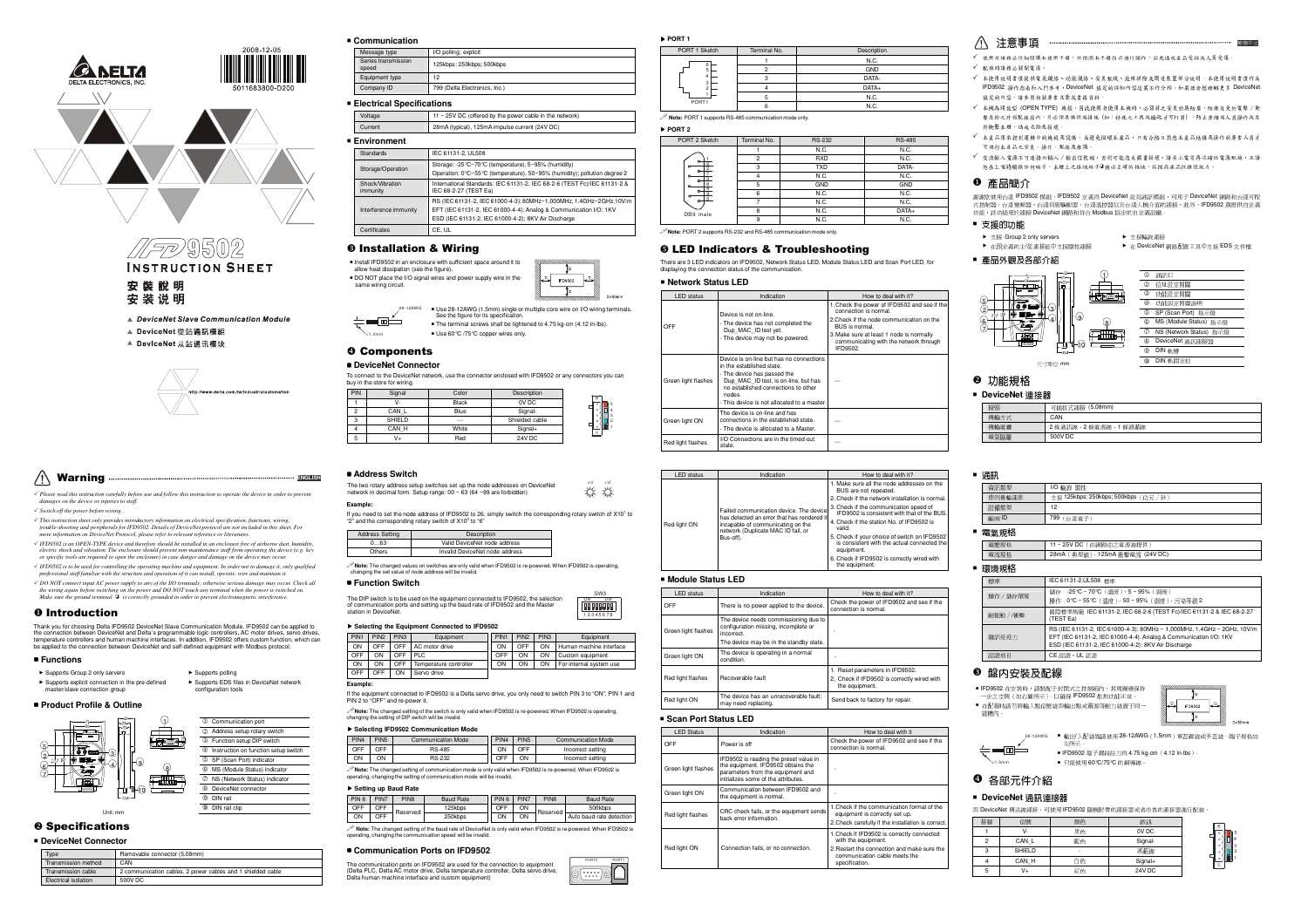



安裝說明 安装说明

- ▲ DeviceNet Slave Communication Module
- ▲ DeviceNet 從站通訊模組
- ▲ DeviceNet 从站通讯模块



|--|--|--|

 *Please read this instruction carefully before use and follow this instruction to operate the device in order to prevent damages on the device or injuries to staff.* 

 $\checkmark$  Switch off the power before wiring

« "Switch of the power before wiring.<br>« This instruction sheet only provides introductory information on electrical specification, functions, wiring,<br>- trouble-shooting and peripherals for FPD9502. Details of DeviceNet pro

 $\checkmark$  IFD9502 is an OPEN-TYPE device and therefore should be installed in an enclosure free.

« IFD9502 is an OPEN-TYPE device and therefore should be installed in an enclosure free of airborne dust, humidity,<br>electric shock and vibration. The enclosure should prevent non-maintenance staff from operating the device

 *IFD9502 is to be used for controlling the operating machine and equipment. In order not to damage it, only qualified professional staff familiar with the structure and operation of it can install, operate, wire and maintain it.* A DO NOT connect input AC nower sumply to any of the UO terminals: athenvise serious damage may occu

G DO NOT connect input AC power supply to any of the I/O terminals; otherwise serious damage may occur. Check all<br>the wiring again before switching on the power and DO NOT touch any terminal when the power is switched on.<br>

# **O** Introduction<br>Productorial Print

Thank you for choosing Delta IFD9502 DeviceNet Slave Communication Module. IFD9502 can be applied to the connection between DeviceNet and Delta's programmable logic controllers, AC motor drives, servo drives,<br>temperature controllers and human machine interfaces. In addition, IFD9502 offers custom function, which can<br>be ap

> 10 Communication port 0 Communication port<br>
> 2 Address setup rotary switch 3 Function setup DIP switch Function setup DIP switch 4 Instruction on function setup switch SP (Scan Port) indicator SP (Scan Port) indicator<br>⑥ MS (Module Status) indic MS (Module Status) indicator 7 NS (Network Status) indicator <sup>8</sup> DeviceNet connector **<sup><sup>©</sup>**</sup> DIN rail - DIN rail clip

# **Functions**

| ▶ Supports Group 2 only servers                 | $\triangleright$ Supports polling       |
|-------------------------------------------------|-----------------------------------------|
| Supports explicit connection in the pre-defined | Supports EDS files in DeviceNet network |
| master/slave connection group                   | configuration tools                     |

### **Product Profile & Outline**



Unit: mm

#### **@** Specifications **E** DeviceNet Connector

| - DEVICENCI CONNECTOR       |                                                             |  |  |  |
|-----------------------------|-------------------------------------------------------------|--|--|--|
| Type                        | Removable connector (5.08mm)                                |  |  |  |
| Transmission method         | CAN                                                         |  |  |  |
| Transmission cable          | 2 communication cables, 2 power cables and 1 shielded cable |  |  |  |
| <b>Electrical isolation</b> | 500V DC                                                     |  |  |  |

| ■ Communication              |                               |  |  |
|------------------------------|-------------------------------|--|--|
| Message type                 | I/O polling: explicit         |  |  |
| Series transmission<br>speed | 125kbps: 250kbps: 500kbps     |  |  |
| Equipment type               | 12 <sup>2</sup>               |  |  |
| Company ID                   | 799 (Delta Electronics, Inc.) |  |  |
| ■ Electrical Specifications  |                               |  |  |

|         | Voltage                     | 11 ~ 25V DC (offered by the power cable in the network)                                                                         |
|---------|-----------------------------|---------------------------------------------------------------------------------------------------------------------------------|
| Current |                             | 28mA (typical), 125mA impulse current (24V DC)                                                                                  |
|         | ■ Environment               |                                                                                                                                 |
|         | <b>Standards</b>            | IEC 61131-2. UL508                                                                                                              |
|         | Storage/Operation           | Storage: -25°C~70°C (temperature), 5~95% (humidity)<br>Operation: 0°C~55°C (temperature), 50~95% (humidity); pollution degree 2 |
|         | Shock/Vibration<br>immunity | International Standards: IEC 61131-2, IEC 68-2-6 (TEST Fc)/IEC 61131-2 &<br>IEC 68-2-27 (TEST Ea)                               |

immunity RS (IEC 61131-2, IEC 61000-4-3): 80MHz~1,000MHz, 1.4GHz~2GHz,10V/m Interference immunity EFT (IEC 61131-2, IEC 61000-4-4): Analog & Communication I/O: 1KV ESD (IEC 61131-2, IEC 61000-4-2): 8KV Air DischargeCertificates CE, UL

# Installation & Wiring





5

5 5 <sup>0</sup>

SW3ON DIP

<1.5mm■ Use 60 ℃ /75 ℃ copper wires only. Components

# **DeviceNet Connector**

| To connect to the DeviceNet network, use the connector enclosed with IFD9502 or any connectors you can |
|--------------------------------------------------------------------------------------------------------|
| buy in the store for wiring.                                                                           |



### **Address Switch**

 The two rotary address setup switches set up the node addresses on DeviceNet network in decimal form. Setup range: 00 ~ 63 (64 ~99 are forbidden)

#### **Example:**

If you need to set the node address of IFD9502 to 26, simply switch the corresponding rotary switch of X10<sup>1</sup> to "2" and the corresponding rotary switch of X10° to "6" Address Setting



**Note:** The changed values on switches are only valid when IFD9502 is re-powered. When IFD9502 is operating, changing the set value of node address will be invalid.

## **Function Switch**



#### **Selecting the Equipment Connected to IFD9502**

| PIN <sub>1</sub> | PIN <sub>2</sub> | PIN3 | Equipment              | PIN <sub>1</sub> | PIN <sub>2</sub> | PIN3 | Equipment               |
|------------------|------------------|------|------------------------|------------------|------------------|------|-------------------------|
| ON               | OFF              | OFF  | AC motor drive         | ON               | OFF              | ON   | Human machine interface |
| OFF              | OΝ               | OFF  | PLC                    | OFF              | ON               | ON   | Custom equipment        |
| ON               | ON               | OFF  | Temperature controller | ON               | ON               | ON   | For internal system use |
| OFF              | OFF              | ON   | Servo drive            |                  |                  |      |                         |

### **Example:**

 If the equipment connected to IFD9502 is a Delta servo drive, you only need to switch PIN 3 to "ON", PIN 1 and PIN 2 to "OFF" and re-power it. **∕ Note:** The changed setting of the switch is only valid when IFD9502 is re-powered. When IFD9502 is operating,<br>changing the setting of DIP switch will be invalid.

# **Selecting IFD9502 Communication Mode**

| PIN <sub>4</sub> | PIN <sub>5</sub> | <b>Communication Mode</b> | PIN <sub>4</sub> | PIN <sub>5</sub> | <b>Communication Mode</b> |
|------------------|------------------|---------------------------|------------------|------------------|---------------------------|
| OFF              | <b>DEE</b>       | <b>RS-485</b>             | ON               | OFF              | Incorrect setting         |
| ON               | ON               | <b>BS-232</b>             | OFF              | ON               | Incorrect setting         |

operating, changing the setting of communication mode will be invalid.

# **Setting up Baud Rate**

| PIN 6                                                                                                             | PIN7 | PIN <sub>R</sub> | <b>Baud Bate</b> |  | PIN 6 | PIN7 | PIN <sub>8</sub> | <b>Baud Bate</b>         |
|-------------------------------------------------------------------------------------------------------------------|------|------------------|------------------|--|-------|------|------------------|--------------------------|
| OFF                                                                                                               | OFF  | Reserved         | 125khns          |  | OFF   | ON   | Reserved         | 500khns                  |
| O٨                                                                                                                | OFF  |                  | 250khos          |  | ON    | ON   |                  | Auto baud rate detection |
| Note: The channed setting of the haud rate of DeviceNet is only valid when IFD9502 is re nowered. When IFD9502 is |      |                  |                  |  |       |      |                  |                          |

Mote: The changed setting of the baud rate of DeviceNet is only valid when IFD9502 is re-powered. When IFD9502 is<br>operating, changing the communication speed will be invalid.

# **Communication Ports on IFD9502**



 **PORT 1** PORT 1 Sketch Terminal No. Description 1 N.C. 2 GND 3 DATA- $\overline{D}$ ATA+

6 N.C.

#### **Note:** PORT 1 supports RS-485 communication mode only.

PORT<sub>1</sub>  **PORT 2** 

| PORT 2 Sketch | Terminal No. | <b>RS-232</b> | <b>RS-485</b> |  |
|---------------|--------------|---------------|---------------|--|
|               |              | N.C.          | N.C.          |  |
|               |              | <b>RXD</b>    | N.C.          |  |
|               |              | <b>TXD</b>    | DATA-         |  |
|               |              | N.C.          | N.C.          |  |
|               |              | GND           | GND           |  |
|               |              | N.C.          | N.C.          |  |
|               |              | N.C.          | N.C.          |  |
| DB9 male      |              | N.C.          | DATA+         |  |
|               | 9            | N.C.          | N.C.          |  |

5 N.C.

 $N$  C

**Note:** PORT 2 supports RS-232 and RS-485 communication mode only.

# **G LED Indicators & Troubleshooting**<br>There are 315D indicators on ISD0503 MetrophyStatus LED Metric Status LED

There are 3 LED indicators on IFD9502, Network Status LED, Module Status LED and Scan Port LED, for<br>displaying the connection status of the communication.

# **Network Status LED**

| <b>LED</b> status   | Indication                                                                                                                                                                                                                                    | How to deal with it?                                                                                                                                                                                                                 |
|---------------------|-----------------------------------------------------------------------------------------------------------------------------------------------------------------------------------------------------------------------------------------------|--------------------------------------------------------------------------------------------------------------------------------------------------------------------------------------------------------------------------------------|
| OFF                 | Device is not on-line.<br>- The device has not completed the<br>Dup MAC ID test yet.<br>- The device may not be powered.                                                                                                                      | 1. Check the power of IFD9502 and see if the<br>connection is normal.<br>2 Check if the node communication on the<br>BUS is normal.<br>3. Make sure at least 1 node is normally<br>communicating with the network through<br>IFD9502 |
| Green light flashes | Device is on-line but has no connections.<br>in the established state.<br>- The device has passed the<br>Dup MAC ID test, is on-line, but has<br>no established connections to other<br>nodes.<br>- This device is not allocated to a master. | ---                                                                                                                                                                                                                                  |
| Green light ON      | The device is on-line and has<br>connections in the established state.<br>- The device is allocated to a Master.                                                                                                                              | ---                                                                                                                                                                                                                                  |
| Red light flashes   | I/O Connections are in the timed-out<br>state                                                                                                                                                                                                 |                                                                                                                                                                                                                                      |

| <b>LED</b> status | Indication                                                                                                                                                                    | How to deal with it?                                                                                      |                                                                                       |
|-------------------|-------------------------------------------------------------------------------------------------------------------------------------------------------------------------------|-----------------------------------------------------------------------------------------------------------|---------------------------------------------------------------------------------------|
|                   |                                                                                                                                                                               | 1. Make sure all the node addresses on the<br>BUS are not repeated.                                       |                                                                                       |
|                   | Failed communication device. The device<br>has detected an error that has rendered it<br>incapable of communicating on the<br>network (Duplicate MAC ID fail, or<br>Bus-off). | 2. Check if the network installation is normal.                                                           |                                                                                       |
|                   |                                                                                                                                                                               |                                                                                                           | 3. Check if the communication speed of<br>IFD9502 is consistent with that of the BUS. |
| Red light ON      |                                                                                                                                                                               | 4. Check if the station No. of IED9502 is<br>valid                                                        |                                                                                       |
|                   |                                                                                                                                                                               | 5. Check if your choice of switch on IFD9502<br>is consistent with the actual connected the<br>equipment. |                                                                                       |
|                   |                                                                                                                                                                               | 6. Check if IFD9502 is correctly wired with<br>the equipment.                                             |                                                                                       |

# **Module Status LED**

| <b>LED</b> status   | Indication                                                                                                                             | How to deal with it?                                                                             |
|---------------------|----------------------------------------------------------------------------------------------------------------------------------------|--------------------------------------------------------------------------------------------------|
| OFF                 | There is no power applied to the device.                                                                                               | Check the power of IFD9502 and see if the<br>connection is normal.                               |
| Green light flashes | The device needs commissioning due to<br>configuration missing, incomplete or<br>incorrect.<br>The device may be in the standby state. |                                                                                                  |
| Green light ON      | The device is operating in a normal<br>condition.                                                                                      |                                                                                                  |
| Red light flashes   | <b>Becoverable fault</b>                                                                                                               | 1. Reset parameters in IFD9502.<br>2. Check if IFD9502 is correctly wired with<br>the equipment. |
| Red light ON        | The device has an unrecoverable fault:<br>may need replacing.                                                                          | Send back to factory for repair.                                                                 |

# **Scan Port Status LED**

| <b>I FD Status</b>  | Indication                                                                                                                                               | How to deal with it                                                                                                                                                |
|---------------------|----------------------------------------------------------------------------------------------------------------------------------------------------------|--------------------------------------------------------------------------------------------------------------------------------------------------------------------|
| OFF                 | Power is off                                                                                                                                             | Check the power of IFD9502 and see if the<br>connection is normal.                                                                                                 |
| Green light flashes | IFD9502 is reading the preset value in<br>the equipment. IFD9502 obtains the<br>parameters from the equipment and<br>initializes some of the attributes. |                                                                                                                                                                    |
| Green light ON      | Communication between IED9502 and<br>the equipment is normal.                                                                                            |                                                                                                                                                                    |
| Red light flashes   | CRC check fails, or the equipment sends<br>hack error information.                                                                                       | 1. Check if the communication format of the<br>equipment is correctly set up.<br>2. Check carefully if the installation is correct.                                |
| Red light ON        | Connection fails, or no connection.                                                                                                                      | 1. Check if IFD9502 is correctly connected<br>with the equipment.<br>2 Bestart the connection and make sure the<br>communication cable meets the<br>specification. |

# 注意事項

- ✔ 使用前请务必仔细阅读本使用手册,并依照本手册指示进行操作,以免造成产品受损或人员受伤。<br>。
- ✔ 配線時請務必關閉電源。<br>…… ✔ 本使用說明書僅提供電氣規格、功能規格、安裝配錢、故障排除及周邊裝置部分說明,本使用說明書僅作為 IFD9502 操作指南和入門參考,DeviceNet 協定的詳細內容這裏不作介紹。如果讀者想瞭解更多 DeviceNet 協定的內容,請參閱相關專業文章或書籍資料。

繁體中文

- 本機為開放型 (OPEN TYPE) 機殼,因此使用者使用本機時,必須將之安裝於具防塵、防潮及免於電擊∕衝 擊意外之外殼配線箱內。另必須具備保護措施 (如:特殊之工具或鑰匙才可打開) ,防止非維護人員操作或意外衝擊本體,造成危險及損壞。
- 本産品用來控制運轉中的機械及設備。爲避免損壞本産品,只有合格且熟悉本産品結構及操作的專業人員才可進行本產品之安裝、操作、配線及維護。
- 交流輸入電源不可連接於輸入∕輸出信號端,否則可能造成嚴重損壞。請在上電前再次確認電源配線,且請勿在上電時觸摸任何端子。本體上之接地端子@務必正確的接地,以提高產品抗雜訊能力。<br>.

# ❶ 產品簡介<br>™™™™™™

 謝謝您使用台達 IFD9502 模組,IFD9502 定義爲 DeviceNet 從站通訊模組,可用于 DeviceNet 網路和台達可程 式控制器、台達變頻器、台達溫控器以及台達人機介面的連接・此外, IFD9502 選提供自定義<br>功能<br>功能・該功能用於連接 DeviceNet 網路和符合 Modbus 協定的自定義設備。

#### 支援的功能

- $\rightarrow \forall$  is Group 2 ▶ 支援 Group 2 only servers<br>▶ 在預定義的主/從連接組中支援顯性連接  $\blacktriangleright$  where the control ▶ 支援輸詢連接<br>▶ 在 DeviceNet 網路配置工具中支援 EDS 文件檔
- 產品外觀及各部介紹



# 功能規格

| ■ DeviceNet 連接器 |                   |  |  |  |  |  |  |  |
|-----------------|-------------------|--|--|--|--|--|--|--|
| 接頭              | 可插拔式連接 (5.08mm)   |  |  |  |  |  |  |  |
| 傳輸 方式           | CAN               |  |  |  |  |  |  |  |
| 傳輸雷纜            | 2條通訊線、2條雷源線、1條遮蔽線 |  |  |  |  |  |  |  |
| 雷氣隔離            | 500VDC            |  |  |  |  |  |  |  |

| deal with it?                                                 |  | 通訊             |                            |
|---------------------------------------------------------------|--|----------------|----------------------------|
| node addresses on the<br>ated.<br>ork installation is normal. |  | 資訊類型<br>串列傳輸速率 | I/O 輪詢 題性<br>支援 125kbps; 2 |
| nunication speed of                                           |  | 設備類型           | 12                         |
| tent with that of the BUS.<br>n No. of IFD9502 is             |  | 廠商 ID          | 799 (台達雷子)                 |
|                                                               |  | 雷氫規格           |                            |

# 電壓規格

電壓規格 11 ~ 25V DC(由網路中之電源線提供)電流規格 28mA(典型值),125mA 衝擊電流 (24V DC)

支援 125kbps; 250kbps; 500kbps (位元

## ■ 環境規格

| 極準        | IEC 61131-2.UL508 極進                                                                                                                                                                                |
|-----------|-----------------------------------------------------------------------------------------------------------------------------------------------------------------------------------------------------|
| 操作 / 儲存環境 | 儲存:-25℃~70℃ (温度) 5~95% (濕度)<br>操作: 0℃~55℃ (温度) · 50~95% (濕度) · 污染等級 2                                                                                                                               |
| 耐振動 //衝撃  | 國際標準規範 IEC 61131-2, IEC 68-2-6 (TEST Fc)/IEC 61131-2 & IEC 68-2-27<br>(TEST Ea)                                                                                                                     |
| 雜訊免疫力     | RS (IEC 61131-2, IEC 61000-4-3): 80MHz ~ 1,000MHz, 1.4GHz ~ 2GHz, 10V/m<br>EFT (IEC 61131-2, IEC 61000-4-4): Analog & Communication I/O: 1KV<br>ESD (IEC 61131-2, IEC 61000-4-2): 8KV Air Discharge |
| 認證項目      | CE 認證 · UL 認證                                                                                                                                                                                       |

# ❸ 盤内安裝及配線

#### IFD9502 在安裝時,請裝配于封閉式之控制箱內,其周圍應保持一定之空間(如右圖所示),以確保 IFD9502 散熱功能正常。 ■ 在配線時請勿將輸入點信號綫與輸出點或電源等動力綫置于同一 綫糟內。



28-12AWG**◎ ■ 輸出/入配線端請使用 28-12AWG ( 1.5mm ) 單蕊裸綫或多蕊綫 · 端子規格如**<br>→ ☆ニ

- 左所示。 $=$   $\blacksquare$  $\blacksquare$  IFD9502 端子鏍絲扭力為 4.75 kg-cm(4.12 in-lbs)。
	- 只能使用 60°C/75°C 的銅導線。

# ❹ 各部元件介紹

 $-1.5$ mm

### **DeviceNet** 通訊連接器

# 與 DeviceNet 傳送線連接。可使用 IFD9502 隨機附帶的連接器或者市售的連接器進行配線。

| .  |        | ---- | ______________ |  |
|----|--------|------|----------------|--|
| 接腳 | 冒號     | 顏色   | 敘述             |  |
|    |        | 黑色   | OV DC          |  |
| 2  | CAN L  | 藍色   | Signal-        |  |
| 3  | SHIELD |      | 遮蔽線            |  |
|    | CAN H  | 白色   | Signal+        |  |
| 5  | V+     | 紅色   | 24V DC         |  |